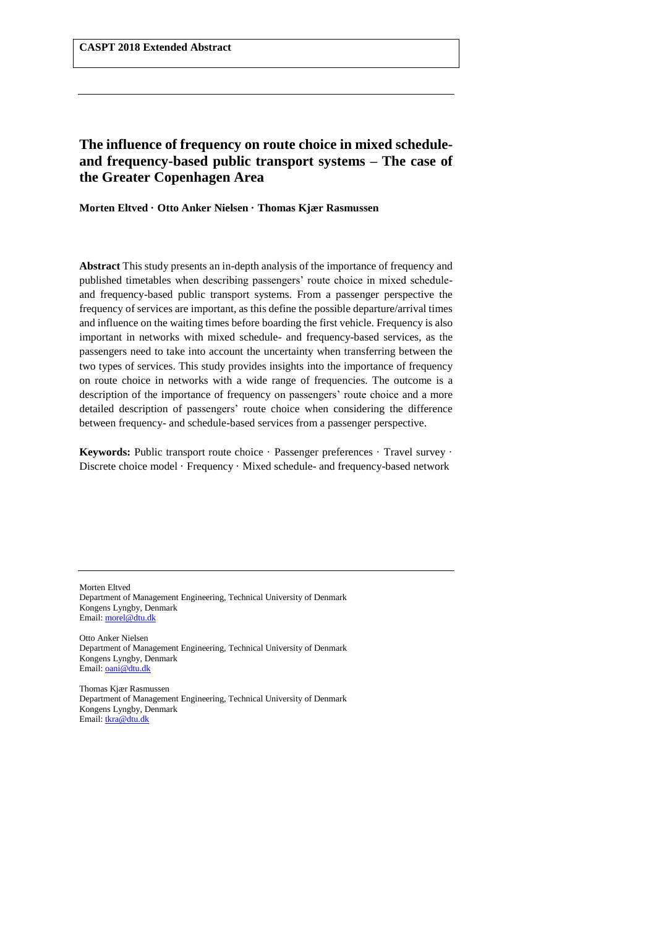# **The influence of frequency on route choice in mixed scheduleand frequency-based public transport systems – The case of the Greater Copenhagen Area**

**Morten Eltved · Otto Anker Nielsen · Thomas Kjær Rasmussen**

**Abstract** This study presents an in-depth analysis of the importance of frequency and published timetables when describing passengers' route choice in mixed scheduleand frequency-based public transport systems. From a passenger perspective the frequency of services are important, as this define the possible departure/arrival times and influence on the waiting times before boarding the first vehicle. Frequency is also important in networks with mixed schedule- and frequency-based services, as the passengers need to take into account the uncertainty when transferring between the two types of services. This study provides insights into the importance of frequency on route choice in networks with a wide range of frequencies. The outcome is a description of the importance of frequency on passengers' route choice and a more detailed description of passengers' route choice when considering the difference between frequency- and schedule-based services from a passenger perspective.

Keywords: Public transport route choice · Passenger preferences · Travel survey · Discrete choice model · Frequency · Mixed schedule- and frequency-based network

Morten Eltved Department of Management Engineering, Technical University of Denmark Kongens Lyngby, Denmark Email[: morel@dtu.dk](mailto:morel@dtu.dk)

Otto Anker Nielsen Department of Management Engineering, Technical University of Denmark Kongens Lyngby, Denmark Email[: oani@dtu.dk](mailto:oani@dtu.dk)

Thomas Kjær Rasmussen Department of Management Engineering, Technical University of Denmark Kongens Lyngby, Denmark Email[: tkra@dtu.dk](mailto:tkra@dtu.dk)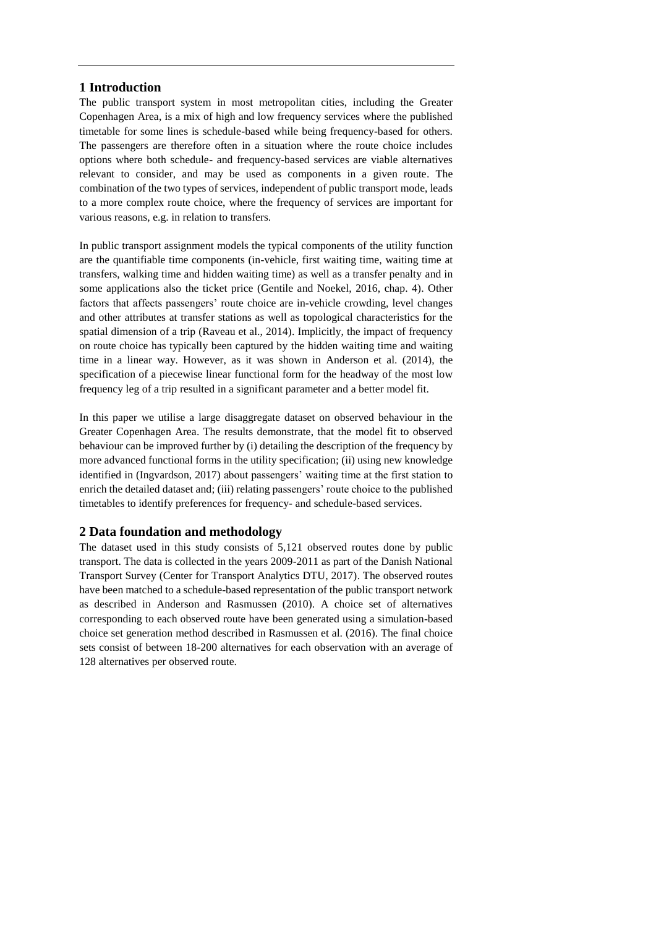## **1 Introduction**

The public transport system in most metropolitan cities, including the Greater Copenhagen Area, is a mix of high and low frequency services where the published timetable for some lines is schedule-based while being frequency-based for others. The passengers are therefore often in a situation where the route choice includes options where both schedule- and frequency-based services are viable alternatives relevant to consider, and may be used as components in a given route. The combination of the two types of services, independent of public transport mode, leads to a more complex route choice, where the frequency of services are important for various reasons, e.g. in relation to transfers.

In public transport assignment models the typical components of the utility function are the quantifiable time components (in-vehicle, first waiting time, waiting time at transfers, walking time and hidden waiting time) as well as a transfer penalty and in some applications also the ticket price (Gentile and Noekel, 2016, chap. 4). Other factors that affects passengers' route choice are in-vehicle crowding, level changes and other attributes at transfer stations as well as topological characteristics for the spatial dimension of a trip (Raveau et al., 2014). Implicitly, the impact of frequency on route choice has typically been captured by the hidden waiting time and waiting time in a linear way. However, as it was shown in Anderson et al. (2014), the specification of a piecewise linear functional form for the headway of the most low frequency leg of a trip resulted in a significant parameter and a better model fit.

In this paper we utilise a large disaggregate dataset on observed behaviour in the Greater Copenhagen Area. The results demonstrate, that the model fit to observed behaviour can be improved further by (i) detailing the description of the frequency by more advanced functional forms in the utility specification; (ii) using new knowledge identified in (Ingvardson, 2017) about passengers' waiting time at the first station to enrich the detailed dataset and; (iii) relating passengers' route choice to the published timetables to identify preferences for frequency- and schedule-based services.

### **2 Data foundation and methodology**

The dataset used in this study consists of 5,121 observed routes done by public transport. The data is collected in the years 2009-2011 as part of the Danish National Transport Survey (Center for Transport Analytics DTU, 2017). The observed routes have been matched to a schedule-based representation of the public transport network as described in Anderson and Rasmussen (2010). A choice set of alternatives corresponding to each observed route have been generated using a simulation-based choice set generation method described in Rasmussen et al. (2016). The final choice sets consist of between 18-200 alternatives for each observation with an average of 128 alternatives per observed route.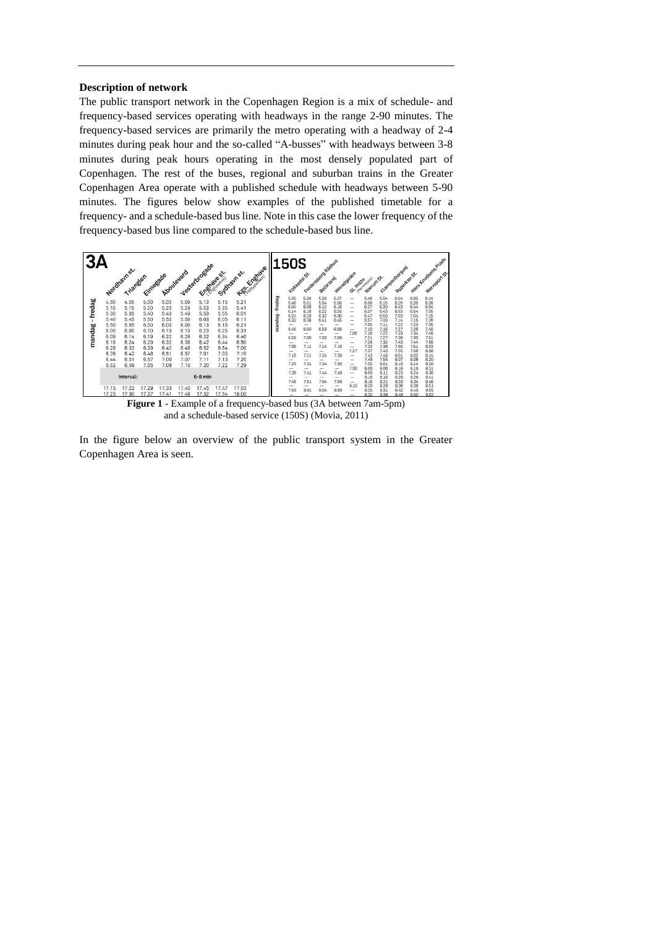### **Description of network**

The public transport network in the Copenhagen Region is a mix of schedule- and frequency-based services operating with headways in the range 2-90 minutes. The frequency-based services are primarily the metro operating with a headway of 2-4 minutes during peak hour and the so-called "A-busses" with headways between 3-8 minutes during peak hours operating in the most densely populated part of Copenhagen. The rest of the buses, regional and suburban trains in the Greater Copenhagen Area operate with a published schedule with headways between 5-90 minutes. The figures below show examples of the published timetable for a frequency- and a schedule-based bus line. Note in this case the lower frequency of the frequency-based bus line compared to the schedule-based bus line.



and a schedule-based service (150S) (Movia, 2011)

In the figure below an overview of the public transport system in the Greater Copenhagen Area is seen.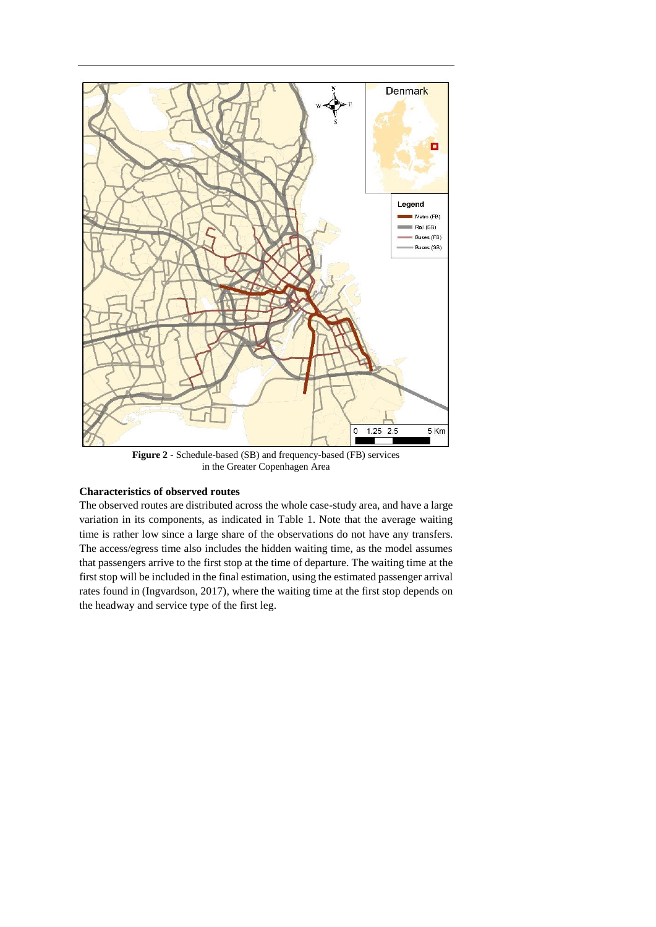

**Figure 2** - Schedule-based (SB) and frequency-based (FB) services in the Greater Copenhagen Area

### **Characteristics of observed routes**

The observed routes are distributed across the whole case-study area, and have a large variation in its components, as indicated in [Table 1.](#page-4-0) Note that the average waiting time is rather low since a large share of the observations do not have any transfers. The access/egress time also includes the hidden waiting time, as the model assumes that passengers arrive to the first stop at the time of departure. The waiting time at the first stop will be included in the final estimation, using the estimated passenger arrival rates found in (Ingvardson, 2017), where the waiting time at the first stop depends on the headway and service type of the first leg.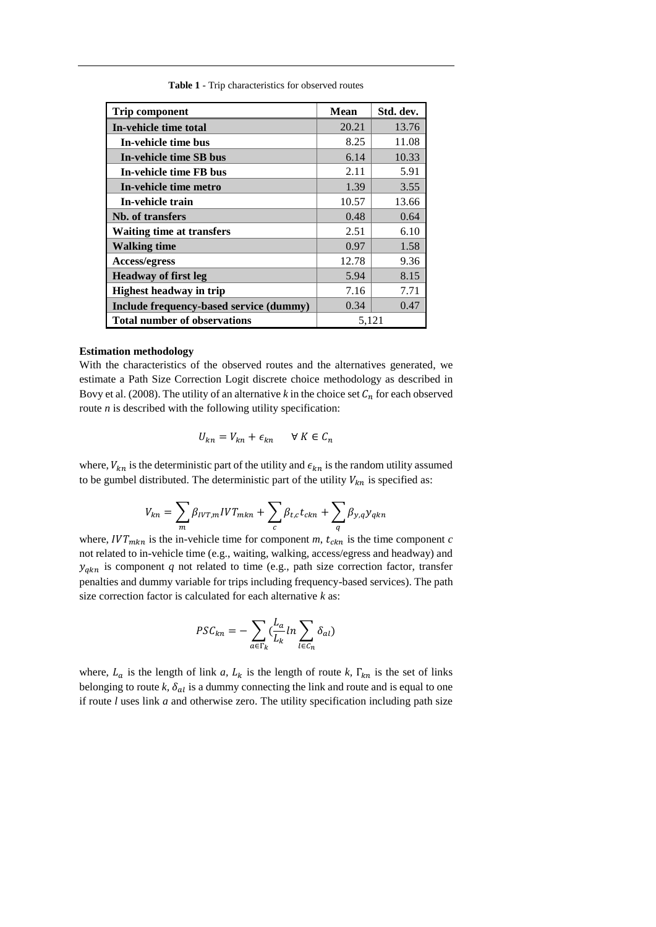<span id="page-4-0"></span>

| <b>Trip component</b>                   | <b>Mean</b> | Std. dev. |
|-----------------------------------------|-------------|-----------|
| In-vehicle time total                   | 20.21       | 13.76     |
| In-vehicle time bus                     | 8.25        | 11.08     |
| In-vehicle time SB bus                  | 6.14        | 10.33     |
| In-vehicle time FB bus                  | 2.11        | 5.91      |
| In-vehicle time metro                   | 1.39        | 3.55      |
| In-vehicle train                        | 10.57       | 13.66     |
| Nb. of transfers                        | 0.48        | 0.64      |
| <b>Waiting time at transfers</b>        | 2.51        | 6.10      |
| <b>Walking time</b>                     | 0.97        | 1.58      |
| Access/egress                           | 12.78       | 9.36      |
| <b>Headway of first leg</b>             | 5.94        | 8.15      |
| <b>Highest headway in trip</b>          | 7.16        | 7.71      |
| Include frequency-based service (dummy) | 0.34        | 0.47      |
| <b>Total number of observations</b>     | 5,121       |           |

**Table 1** - Trip characteristics for observed routes

#### **Estimation methodology**

With the characteristics of the observed routes and the alternatives generated, we estimate a Path Size Correction Logit discrete choice methodology as described in Bovy et al. (2008). The utility of an alternative  $k$  in the choice set  $C_n$  for each observed route *n* is described with the following utility specification:

$$
U_{kn} = V_{kn} + \epsilon_{kn} \qquad \forall \ K \in \mathcal{C}_n
$$

where,  $V_{kn}$  is the deterministic part of the utility and  $\epsilon_{kn}$  is the random utility assumed to be gumbel distributed. The deterministic part of the utility  $V_{kn}$  is specified as:

$$
V_{kn} = \sum_{m} \beta_{IVT,m} IVT_{mkn} + \sum_{c} \beta_{t,c} t_{ckn} + \sum_{q} \beta_{y,q} y_{qkn}
$$

where,  $IVT_{mkn}$  is the in-vehicle time for component  $m$ ,  $t_{ckn}$  is the time component  $c$ not related to in-vehicle time (e.g., waiting, walking, access/egress and headway) and  $y_{qkn}$  is component  $q$  not related to time (e.g., path size correction factor, transfer penalties and dummy variable for trips including frequency-based services). The path size correction factor is calculated for each alternative *k* as:

$$
PSC_{kn} = -\sum_{a \in \Gamma_k} \left( \frac{L_a}{L_k} \ln \sum_{l \in C_n} \delta_{al} \right)
$$

where,  $L_a$  is the length of link *a*,  $L_k$  is the length of route *k*,  $\Gamma_{kn}$  is the set of links belonging to route  $k$ ,  $\delta_{al}$  is a dummy connecting the link and route and is equal to one if route *l* uses link *a* and otherwise zero. The utility specification including path size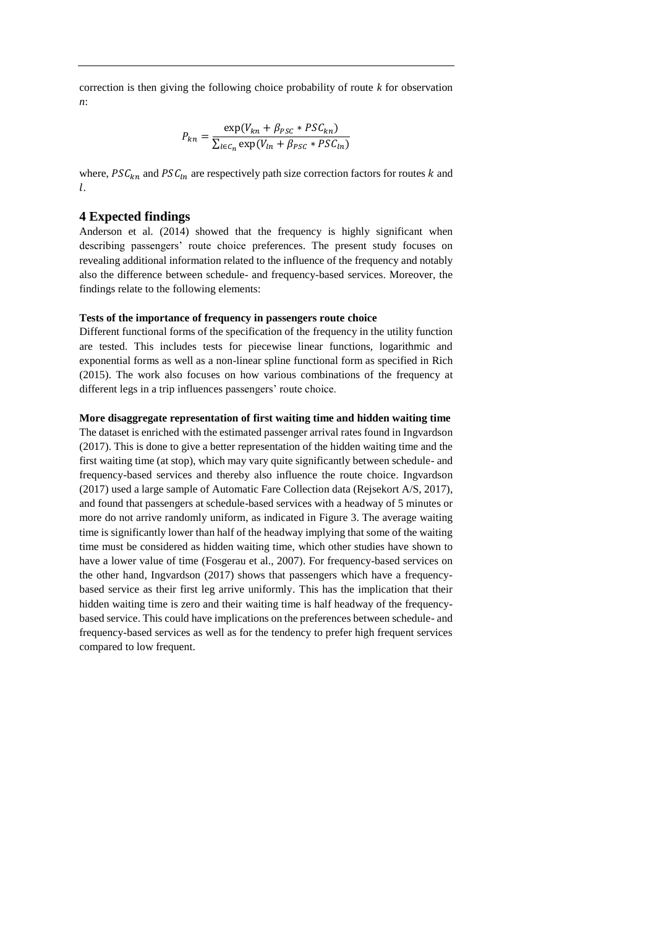correction is then giving the following choice probability of route *k* for observation *n*:

$$
P_{kn} = \frac{\exp(V_{kn} + \beta_{PSC} * PSC_{kn})}{\sum_{l \in C_n} \exp(V_{ln} + \beta_{PSC} * PSC_{ln})}
$$

where,  $PSC_{kn}$  and  $PSC_{ln}$  are respectively path size correction factors for routes k and l.

### **4 Expected findings**

Anderson et al. (2014) showed that the frequency is highly significant when describing passengers' route choice preferences. The present study focuses on revealing additional information related to the influence of the frequency and notably also the difference between schedule- and frequency-based services. Moreover, the findings relate to the following elements:

#### **Tests of the importance of frequency in passengers route choice**

Different functional forms of the specification of the frequency in the utility function are tested. This includes tests for piecewise linear functions, logarithmic and exponential forms as well as a non-linear spline functional form as specified in Rich (2015). The work also focuses on how various combinations of the frequency at different legs in a trip influences passengers' route choice.

### **More disaggregate representation of first waiting time and hidden waiting time**

The dataset is enriched with the estimated passenger arrival rates found in Ingvardson (2017). This is done to give a better representation of the hidden waiting time and the first waiting time (at stop), which may vary quite significantly between schedule- and frequency-based services and thereby also influence the route choice. Ingvardson (2017) used a large sample of Automatic Fare Collection data (Rejsekort A/S, 2017), and found that passengers at schedule-based services with a headway of 5 minutes or more do not arrive randomly uniform, as indicated in [Figure 3.](#page-6-0) The average waiting time is significantly lower than half of the headway implying that some of the waiting time must be considered as hidden waiting time, which other studies have shown to have a lower value of time (Fosgerau et al., 2007). For frequency-based services on the other hand, Ingvardson (2017) shows that passengers which have a frequencybased service as their first leg arrive uniformly. This has the implication that their hidden waiting time is zero and their waiting time is half headway of the frequencybased service. This could have implications on the preferences between schedule- and frequency-based services as well as for the tendency to prefer high frequent services compared to low frequent.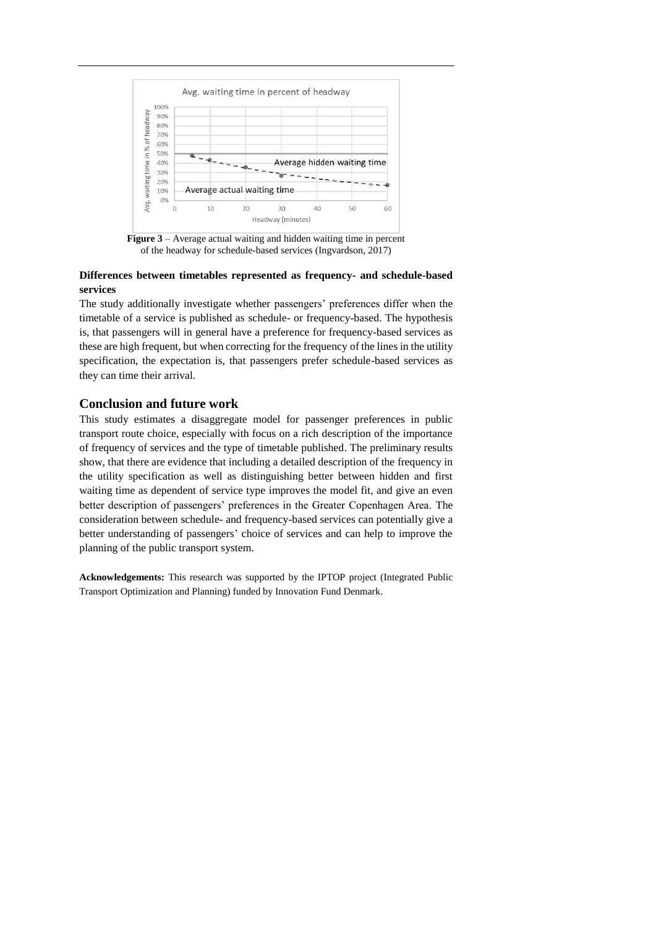

**Figure 3** – Average actual waiting and hidden waiting time in percent of the headway for schedule-based services (Ingvardson,  $2017$ )

# <span id="page-6-0"></span>**Differences between timetables represented as frequency- and schedule-based services**

The study additionally investigate whether passengers' preferences differ when the timetable of a service is published as schedule- or frequency-based. The hypothesis is, that passengers will in general have a preference for frequency-based services as these are high frequent, but when correcting for the frequency of the lines in the utility specification, the expectation is, that passengers prefer schedule-based services as they can time their arrival.

# **Conclusion and future work**

This study estimates a disaggregate model for passenger preferences in public transport route choice, especially with focus on a rich description of the importance of frequency of services and the type of timetable published. The preliminary results show, that there are evidence that including a detailed description of the frequency in the utility specification as well as distinguishing better between hidden and first waiting time as dependent of service type improves the model fit, and give an even better description of passengers' preferences in the Greater Copenhagen Area. The consideration between schedule- and frequency-based services can potentially give a better understanding of passengers' choice of services and can help to improve the planning of the public transport system.

**Acknowledgements:** This research was supported by the IPTOP project (Integrated Public Transport Optimization and Planning) funded by Innovation Fund Denmark.